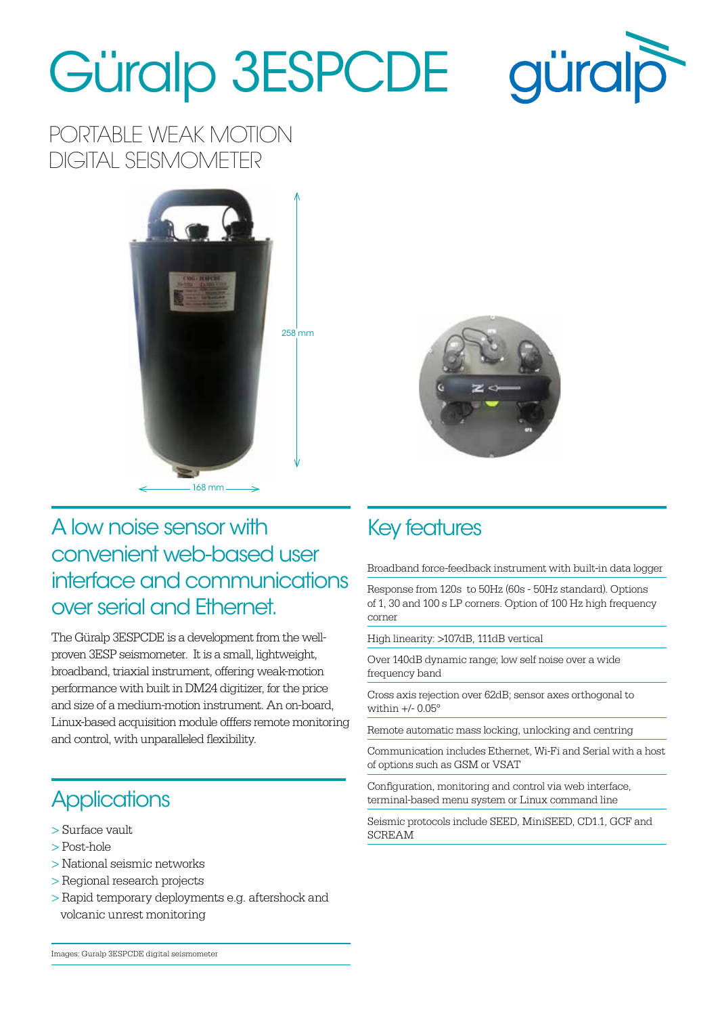## Güralp 3ESPCDE



PORTABLE WEAK MOTION DIGITAL SEISMOMETER





#### A low noise sensor with convenient web-based user interface and communications over serial and Ethernet.

The Güralp 3ESPCDE is a development from the wellproven 3ESP seismometer. It is a small, lightweight, broadband, triaxial instrument, offering weak-motion performance with built in DM24 digitizer, for the price and size of a medium-motion instrument. An on-board, Linux-based acquisition module offfers remote monitoring and control, with unparalleled flexibility.

### **Applications**

- > Surface vault
- > Post-hole
- > National seismic networks
- > Regional research projects
- > Rapid temporary deployments e.g. aftershock and volcanic unrest monitoring

#### Key features

Broadband force-feedback instrument with built-in data logger

Response from 120s to 50Hz (60s - 50Hz standard). Options of 1, 30 and 100 s LP corners. Option of 100 Hz high frequency corner

High linearity: >107dB, 111dB vertical

Over 140dB dynamic range; low self noise over a wide frequency band

Cross axis rejection over 62dB; sensor axes orthogonal to within  $+/- 0.05^\circ$ 

Remote automatic mass locking, unlocking and centring

Communication includes Ethernet, Wi-Fi and Serial with a host of options such as GSM or VSAT

Configuration, monitoring and control via web interface, terminal-based menu system or Linux command line

Seismic protocols include SEED, MiniSEED, CD1.1, GCF and SCREAM